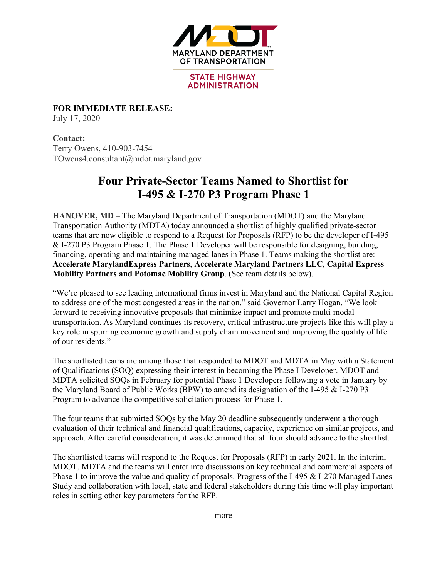

**STATE HIGHWAY ADMINISTRATION** 

**FOR IMMEDIATE RELEASE:** July 17, 2020

**Contact:**  Terry Owens, 410-903-7454 TOwens4.consultant@mdot.maryland.gov

# **Four Private-Sector Teams Named to Shortlist for I-495 & I-270 P3 Program Phase 1**

**HANOVER, MD –** The Maryland Department of Transportation (MDOT) and the Maryland Transportation Authority (MDTA) today announced a shortlist of highly qualified private-sector teams that are now eligible to respond to a Request for Proposals (RFP) to be the developer of I-495 & I-270 P3 Program Phase 1. The Phase 1 Developer will be responsible for designing, building, financing, operating and maintaining managed lanes in Phase 1. Teams making the shortlist are: **Accelerate MarylandExpress Partners**, **Accelerate Maryland Partners LLC**, **Capital Express Mobility Partners and Potomac Mobility Group**. (See team details below).

"We're pleased to see leading international firms invest in Maryland and the National Capital Region to address one of the most congested areas in the nation," said Governor Larry Hogan. "We look forward to receiving innovative proposals that minimize impact and promote multi-modal transportation. As Maryland continues its recovery, critical infrastructure projects like this will play a key role in spurring economic growth and supply chain movement and improving the quality of life of our residents."

The shortlisted teams are among those that responded to MDOT and MDTA in May with a Statement of Qualifications (SOQ) expressing their interest in becoming the Phase I Developer. MDOT and MDTA solicited SOQs in February for potential Phase 1 Developers following a vote in January by the Maryland Board of Public Works (BPW) to amend its designation of the I-495 & I-270 P3 Program to advance the competitive solicitation process for Phase 1.

The four teams that submitted SOQs by the May 20 deadline subsequently underwent a thorough evaluation of their technical and financial qualifications, capacity, experience on similar projects, and approach. After careful consideration, it was determined that all four should advance to the shortlist.

The shortlisted teams will respond to the Request for Proposals (RFP) in early 2021. In the interim, MDOT, MDTA and the teams will enter into discussions on key technical and commercial aspects of Phase 1 to improve the value and quality of proposals. Progress of the I-495 & I-270 Managed Lanes Study and collaboration with local, state and federal stakeholders during this time will play important roles in setting other key parameters for the RFP.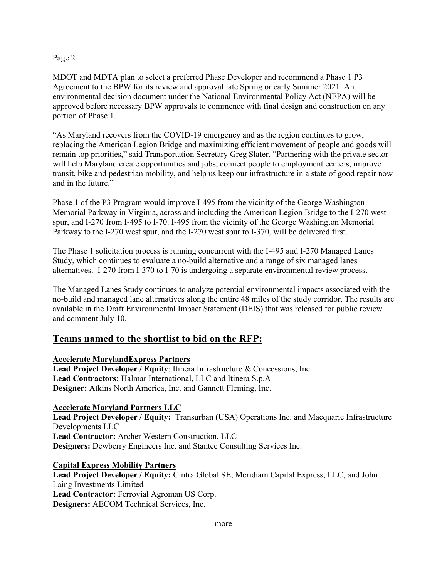#### Page 2

MDOT and MDTA plan to select a preferred Phase Developer and recommend a Phase 1 P3 Agreement to the BPW for its review and approval late Spring or early Summer 2021. An environmental decision document under the National Environmental Policy Act (NEPA) will be approved before necessary BPW approvals to commence with final design and construction on any portion of Phase 1.

"As Maryland recovers from the COVID-19 emergency and as the region continues to grow, replacing the American Legion Bridge and maximizing efficient movement of people and goods will remain top priorities," said Transportation Secretary Greg Slater. "Partnering with the private sector will help Maryland create opportunities and jobs, connect people to employment centers, improve transit, bike and pedestrian mobility, and help us keep our infrastructure in a state of good repair now and in the future."

Phase 1 of the P3 Program would improve I-495 from the vicinity of the George Washington Memorial Parkway in Virginia, across and including the American Legion Bridge to the I-270 west spur, and I-270 from I-495 to I-70. I-495 from the vicinity of the George Washington Memorial Parkway to the I-270 west spur, and the I-270 west spur to I-370, will be delivered first.

The Phase 1 solicitation process is running concurrent with the I-495 and I-270 Managed Lanes Study, which continues to evaluate a no-build alternative and a range of six managed lanes alternatives. I-270 from I-370 to I-70 is undergoing a separate environmental review process.

The Managed Lanes Study continues to analyze potential environmental impacts associated with the no-build and managed lane alternatives along the entire 48 miles of the study corridor. The results are available in the Draft Environmental Impact Statement (DEIS) that was released for public review and comment July 10.

## **Teams named to the shortlist to bid on the RFP:**

## **Accelerate MarylandExpress Partners**

**Lead Project Developer / Equity**: Itinera Infrastructure & Concessions, Inc. **Lead Contractors:** Halmar International, LLC and Itinera S.p.A **Designer:** Atkins North America, Inc. and Gannett Fleming, Inc.

## **Accelerate Maryland Partners LLC**

**Lead Project Developer / Equity:** Transurban (USA) Operations Inc. and Macquarie Infrastructure Developments LLC **Lead Contractor:** Archer Western Construction, LLC **Designers:** Dewberry Engineers Inc. and Stantec Consulting Services Inc.

**Capital Express Mobility Partners**

**Lead Project Developer / Equity:** Cintra Global SE, Meridiam Capital Express, LLC, and John Laing Investments Limited **Lead Contractor:** Ferrovial Agroman US Corp. **Designers:** AECOM Technical Services, Inc.